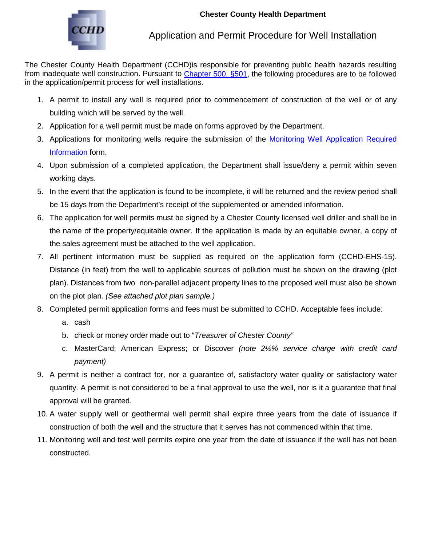

## Application and Permit Procedure for Well Installation

The Chester County Health Department (CCHD)is responsible for preventing public health hazards resulting from inadequate well construction. Pursuant to [Chapter 500, §501,](http://chesco.org/DocumentCenter/Home/View/429) the following procedures are to be followed in the application/permit process for well installations.

- 1. A permit to install any well is required prior to commencement of construction of the well or of any building which will be served by the well.
- 2. Application for a well permit must be made on forms approved by the Department.
- 3. Applications for monitoring wells require the submission of the Monitoring Well Application Required [Information](https://forms.chesco.org/iFiller/iFiller.jsp?fref=633600eb9c7dbad2e469be68c5ddb472) form.
- 4. Upon submission of a completed application, the Department shall issue/deny a permit within seven working days.
- 5. In the event that the application is found to be incomplete, it will be returned and the review period shall be 15 days from the Department's receipt of the supplemented or amended information.
- 6. The application for well permits must be signed by a Chester County licensed well driller and shall be in the name of the property/equitable owner. If the application is made by an equitable owner, a copy of the sales agreement must be attached to the well application.
- 7. All pertinent information must be supplied as required on the application form (CCHD-EHS-15). Distance (in feet) from the well to applicable sources of pollution must be shown on the drawing (plot plan). Distances from two non-parallel adjacent property lines to the proposed well must also be shown on the plot plan. *(See attached plot plan sample.)*
- 8. Completed permit application forms and fees must be submitted to CCHD. Acceptable fees include:
	- a. cash
	- b. check or money order made out to "*Treasurer of Chester County"*
	- c. MasterCard; American Express; or Discover *(note 2½% service charge with credit card payment)*
- 9. A permit is neither a contract for, nor a guarantee of, satisfactory water quality or satisfactory water quantity. A permit is not considered to be a final approval to use the well, nor is it a guarantee that final approval will be granted.
- 10. A water supply well or geothermal well permit shall expire three years from the date of issuance if construction of both the well and the structure that it serves has not commenced within that time.
- 11. Monitoring well and test well permits expire one year from the date of issuance if the well has not been constructed.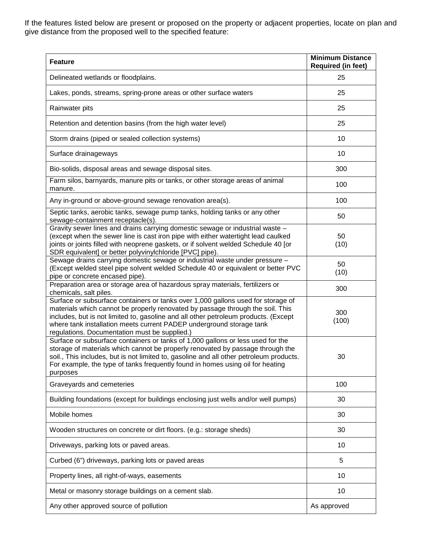If the features listed below are present or proposed on the property or adjacent properties, locate on plan and give distance from the proposed well to the specified feature:

| <b>Feature</b>                                                                                                                                                                                                                                                                                                                                                                     | <b>Minimum Distance</b><br><b>Required (in feet)</b> |
|------------------------------------------------------------------------------------------------------------------------------------------------------------------------------------------------------------------------------------------------------------------------------------------------------------------------------------------------------------------------------------|------------------------------------------------------|
| Delineated wetlands or floodplains.                                                                                                                                                                                                                                                                                                                                                | 25                                                   |
| Lakes, ponds, streams, spring-prone areas or other surface waters                                                                                                                                                                                                                                                                                                                  | 25                                                   |
| Rainwater pits                                                                                                                                                                                                                                                                                                                                                                     | 25                                                   |
| Retention and detention basins (from the high water level)                                                                                                                                                                                                                                                                                                                         | 25                                                   |
| Storm drains (piped or sealed collection systems)                                                                                                                                                                                                                                                                                                                                  | 10                                                   |
| Surface drainageways                                                                                                                                                                                                                                                                                                                                                               | 10                                                   |
| Bio-solids, disposal areas and sewage disposal sites.                                                                                                                                                                                                                                                                                                                              | 300                                                  |
| Farm silos, barnyards, manure pits or tanks, or other storage areas of animal<br>manure.                                                                                                                                                                                                                                                                                           | 100                                                  |
| Any in-ground or above-ground sewage renovation area(s).                                                                                                                                                                                                                                                                                                                           | 100                                                  |
| Septic tanks, aerobic tanks, sewage pump tanks, holding tanks or any other<br>sewage-containment receptacle(s).                                                                                                                                                                                                                                                                    | 50                                                   |
| Gravity sewer lines and drains carrying domestic sewage or industrial waste -<br>(except when the sewer line is cast iron pipe with either watertight lead caulked<br>joints or joints filled with neoprene gaskets, or if solvent welded Schedule 40 [or<br>SDR equivalent] or better polyvinylchloride [PVC] pipe).                                                              | 50<br>(10)                                           |
| Sewage drains carrying domestic sewage or industrial waste under pressure -<br>(Except welded steel pipe solvent welded Schedule 40 or equivalent or better PVC<br>pipe or concrete encased pipe).                                                                                                                                                                                 | 50<br>(10)                                           |
| Preparation area or storage area of hazardous spray materials, fertilizers or<br>chemicals, salt piles.                                                                                                                                                                                                                                                                            | 300                                                  |
| Surface or subsurface containers or tanks over 1,000 gallons used for storage of<br>materials which cannot be properly renovated by passage through the soil. This<br>includes, but is not limited to, gasoline and all other petroleum products. (Except<br>where tank installation meets current PADEP underground storage tank<br>regulations. Documentation must be supplied.) | 300<br>(100)                                         |
| Surface or subsurface containers or tanks of 1,000 gallons or less used for the<br>storage of materials which cannot be properly renovated by passage through the<br>soil., This includes, but is not limited to, gasoline and all other petroleum products.<br>For example, the type of tanks frequently found in homes using oil for heating<br>purposes                         | 30                                                   |
| Graveyards and cemeteries                                                                                                                                                                                                                                                                                                                                                          | 100                                                  |
| Building foundations (except for buildings enclosing just wells and/or well pumps)                                                                                                                                                                                                                                                                                                 | 30                                                   |
| Mobile homes                                                                                                                                                                                                                                                                                                                                                                       | 30                                                   |
| Wooden structures on concrete or dirt floors. (e.g.: storage sheds)                                                                                                                                                                                                                                                                                                                | 30                                                   |
| Driveways, parking lots or paved areas.                                                                                                                                                                                                                                                                                                                                            | 10                                                   |
| Curbed (6") driveways, parking lots or paved areas                                                                                                                                                                                                                                                                                                                                 | 5                                                    |
| Property lines, all right-of-ways, easements                                                                                                                                                                                                                                                                                                                                       | 10                                                   |
| Metal or masonry storage buildings on a cement slab.                                                                                                                                                                                                                                                                                                                               | 10                                                   |
| Any other approved source of pollution                                                                                                                                                                                                                                                                                                                                             | As approved                                          |